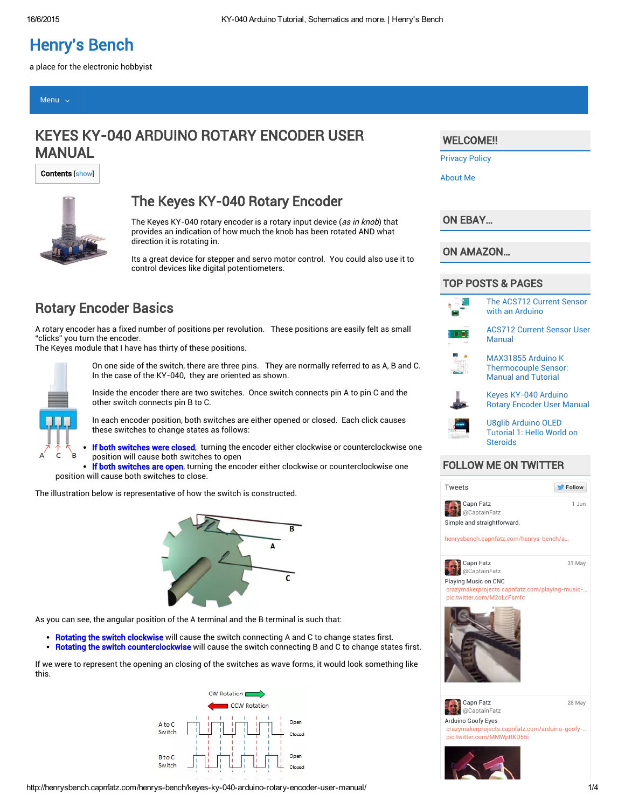# [Henry's Bench](http://henrysbench.capnfatz.com/)

a place for the electronic hobbyist

#### [Menu](http://henrysbench.capnfatz.com/) v

# KEYES KY-040 ARDUINO ROTARY ENCODER USER MANUAL

Contents [show]



### The Keyes KY-040 Rotary Encoder

The Keyes KY-040 rotary encoder is a rotary input device (as in knob) that provides an indication of how much the knob has been rotated AND what direction it is rotating in.

Its a great device for stepper and servo motor control. You could also use it to control devices like digital potentiometers.

### Rotary Encoder Basics

A rotary encoder has a fixed number of positions per revolution. These positions are easily felt as small "clicks" you turn the encoder.

The Keyes module that I have has thirty of these positions.



On one side of the switch, there are three pins. They are normally referred to as A, B and C. In the case of the KY-040, they are oriented as shown.

Inside the encoder there are two switches. Once switch connects pin A to pin C and the other switch connects pin B to C.

In each encoder position, both switches are either opened or closed. Each click causes these switches to change states as follows:

If both switches were closed, turning the encoder either clockwise or counterclockwise one position will cause both switches to open

. If both switches are open, turning the encoder either clockwise or counterclockwise one position will cause both switches to close.

The illustration below is representative of how the switch is constructed.



As you can see, the angular position of the A terminal and the B terminal is such that:

- Rotating the switch clockwise will cause the switch connecting A and C to change states first.
- Rotating the switch counterclockwise will cause the switch connecting B and C to change states first.

If we were to represent the opening an closing of the switches as wave forms, it would look something like this.



#### http://henrysbench.capnfatz.com/henrys-bench/keyes-ky-040-arduino-rotary-encoder-user-manual/ 1/4

#### WELCOME!!

[Privacy](http://henrysbench.capnfatz.com/privacy-policy-2/) Policy

[About](http://henrysbench.capnfatz.com/about-me/) Me

[ON EBAY…](http://t.co/KNZZdqA9To)

[ON AMAZON](https://twitter.com/CaptainFatz)…

#### [TOP POSTS & PAGES](http://t.co/AMcw5KqMfM)



The [ACS712](http://henrysbench.capnfatz.com/henrys-bench/the-acs712-current-sensor-with-an-arduino/) Current Sensor with an Arduino

[ACS712](http://henrysbench.capnfatz.com/henrys-bench/acs712-current-sensor-user-manual/) Current Sensor User Manual



[MAX3185](http://twitter.com/CaptainFatz/status/605123406200078337/photo/1)5 Arduino K [Thermocouple](http://henrysbench.capnfatz.com/henrys-bench/max31855-arduino-k-thermocouple-sensor-manual-and-tutorial/) Sensor: Manual and Tutorial



Keyes KY-040 Arduino [Rota](https://twitter.com/CaptainFatz)ry [Encoder](http://t.co/IWmamqLnnu) User [Manua](https://twitter.com/CaptainFatz/status/604138638532726784)l

U8glib Arduino OLED [Tutorial](http://t.co/MMWpRKD55i) 1: Hello World on **[Steroids](http://henrysbench.capnfatz.com/henrys-bench/u8glib-arduino-oled-tutorial-1-hello-world-on-steroids/)** 

#### [FOLLOW ME ON](http://twitter.com/CaptainFatz/status/604138638532726784/photo/1) TWITTER



Playing Music on CNC [@CaptainFatz](http://t.co/SZKGSfAIUB)

akerprojects.capnfatz.com/playing-music-. pic.twitter.com/M2oLcFsmfc



Arduino Goofy Eyes [crazymakerprojects.capnfat](http://twitter.com/CaptainFatz/status/602929721270140929/photo/1)z.com/arduino-goofy-… pic.twitter.com/MMWpRKD55i [Capn](http://t.co/IJAJRsWrHF) Fatz [@CaptainFatz](http://t.co/jdcxXjW16N) 28 May

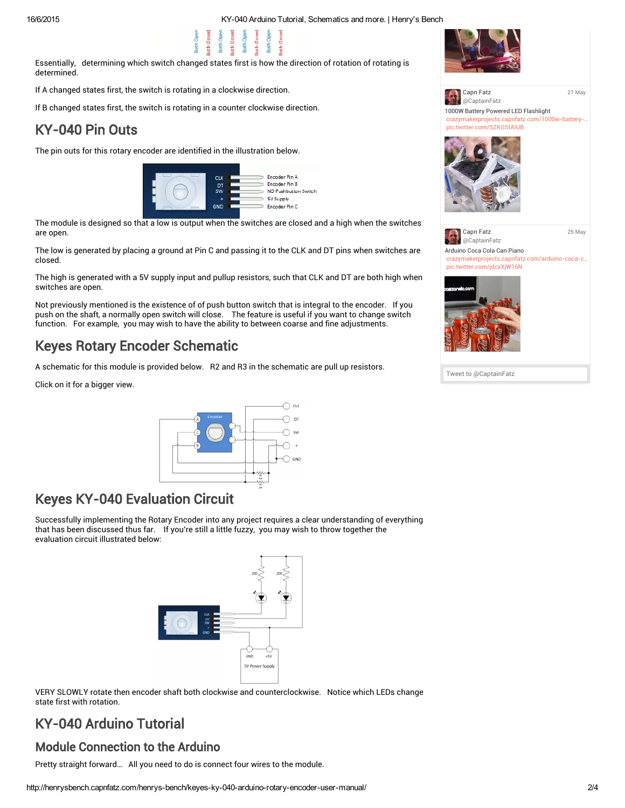16/6/2015 KY040 Arduino Tutorial, [Schematics](http://i1.wp.com/henrysbench.capnfatz.com/wp-content/uploads/2015/05/Rotary-Encoder-Phases.png) and more. | Henry's Bench



Essentially, determining which switch changed states first is how the direction of rotation of rotating is determined.

If A changed states first, the switch is rotating in a clockwise direction.

If B changed states first, the switch is rotating in a counter clockwise direction.

**Both Ope** 

## KY-040 Pin Outs

The pin outs for this rotary encoder are identified in the illustration below.



The module is designed so that a low is output when the switches are closed and a high when the switches are open.

The low is generated by placing a ground at Pin C and passing it to the CLK and DT pins when switches are closed.

The high is generated with a 5V supply input and pullup resistors, such that CLK and DT are both high when switches are open.

Not previously mentioned is the existence of of push button switch that is integral to the encoder. If you push on the shaft, a normally open switch will close. The feature is useful if you want to change switch function. For example, you may wish to have the ability to between coarse and fine adjustments.

# Keyes Rotary Encoder Schematic

A schematic for this module is provided below. R2 and R3 in the schematic are pull up resistors.

Click on it for a bigger view.



## Keyes KY-040 Evaluation Circuit

Successfully implementing the Rotary Encoder into any project requires a clear understanding of everything that has been discussed thus far. If you're still a little fuzzy, you may wish to throw together the evaluation circuit illustrated below:



VERY SLOWLY rotate then encoder shaft both clockwise and counterclockwise. Notice which LEDs change state first with rotation.

# KY-040 Arduino Tutorial

### Module Connection to the Arduino

Pretty straight forward… All you need to do is connect four wires to the module.







Tweet to @CaptainFatz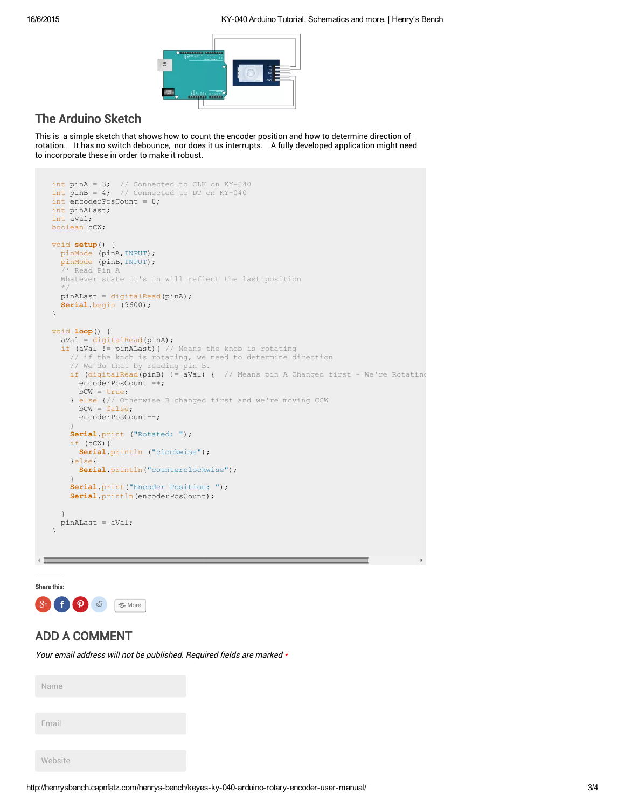

### The Arduino Sketch

This is a simple sketch that shows how to count the encoder position and how to determine direction of rotation. It has no switch debounce, nor does it us interrupts. A fully developed application might need to incorporate these in order to make it robust.

```
int pinA = 3; // Connected to CLK on KY-040
int pinB = 4; // Connected to DT on KY-040
int encoderPosCount = 0;
int pinALast;
int aVal;
boolean bCW;
void setup() {
 pinMode (pinA,INPUT);
  pinMode (pinB,INPUT);
  /* Read Pin A
  Whatever state it's in will reflect the last position
  */
  pinALast = digitalRead(pinA);
  Serial.begin (9600);
}
void loop() {
  aVal = digitalRead(pinA);
  if (aVal != pinALast){ // Means the knob is rotating
    // if the knob is rotating, we need to determine direction
    // We do that by reading pin B.
    if (digitalRead(pinB) != aVal) { // Means pin A Changed first - We're Rotating
      encoderPosCount ++;
     bcW = true;} else {// Otherwise B changed first and we're moving CCW
     bCW = false;
      encoderPosCount--;
    }
    Serial.print ("Rotated: ");
    if (bCW){
      Serial.println ("clockwise");
    }else{
     Serial.println("counterclockwise");
    }
    Serial.print("Encoder Position: ");
    Serial.println(encoderPosCount);
  }
  pinALast = aVal;
}
```
Share this:



#### ADD A COMMENT

Your email address will not be published. Required fields are marked \*

Name

Email

Website